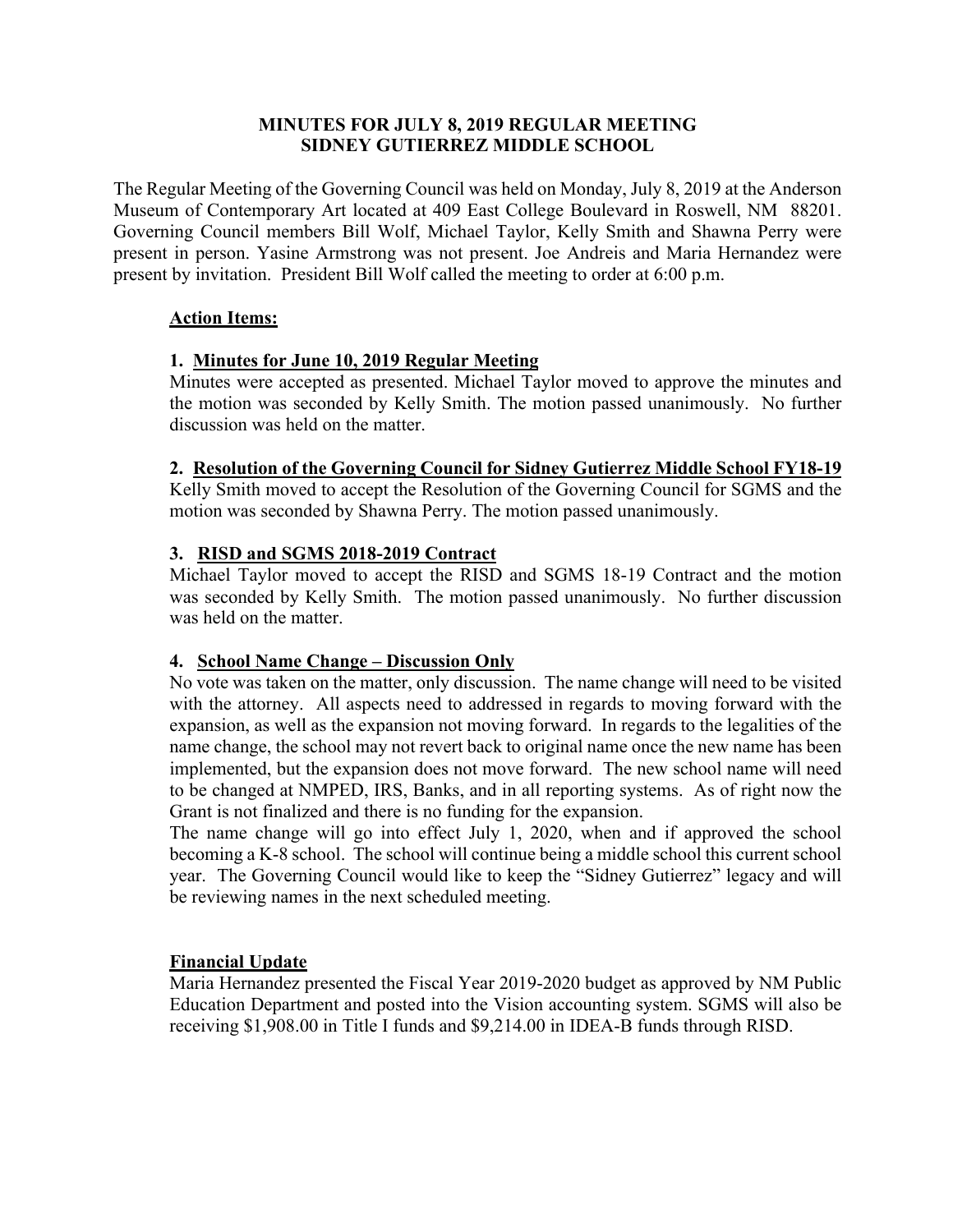## **MINUTES FOR JULY 8, 2019 REGULAR MEETING SIDNEY GUTIERREZ MIDDLE SCHOOL**

The Regular Meeting of the Governing Council was held on Monday, July 8, 2019 at the Anderson Museum of Contemporary Art located at 409 East College Boulevard in Roswell, NM 88201. Governing Council members Bill Wolf, Michael Taylor, Kelly Smith and Shawna Perry were present in person. Yasine Armstrong was not present. Joe Andreis and Maria Hernandez were present by invitation. President Bill Wolf called the meeting to order at 6:00 p.m.

## **Action Items:**

# **1. Minutes for June 10, 2019 Regular Meeting**

Minutes were accepted as presented. Michael Taylor moved to approve the minutes and the motion was seconded by Kelly Smith. The motion passed unanimously. No further discussion was held on the matter.

## **2. Resolution of the Governing Council for Sidney Gutierrez Middle School FY18-19**

Kelly Smith moved to accept the Resolution of the Governing Council for SGMS and the motion was seconded by Shawna Perry. The motion passed unanimously.

## **3. RISD and SGMS 2018-2019 Contract**

Michael Taylor moved to accept the RISD and SGMS 18-19 Contract and the motion was seconded by Kelly Smith. The motion passed unanimously. No further discussion was held on the matter.

# **4. School Name Change – Discussion Only**

No vote was taken on the matter, only discussion. The name change will need to be visited with the attorney. All aspects need to addressed in regards to moving forward with the expansion, as well as the expansion not moving forward. In regards to the legalities of the name change, the school may not revert back to original name once the new name has been implemented, but the expansion does not move forward. The new school name will need to be changed at NMPED, IRS, Banks, and in all reporting systems. As of right now the Grant is not finalized and there is no funding for the expansion.

The name change will go into effect July 1, 2020, when and if approved the school becoming a K-8 school. The school will continue being a middle school this current school year. The Governing Council would like to keep the "Sidney Gutierrez" legacy and will be reviewing names in the next scheduled meeting.

#### **Financial Update**

Maria Hernandez presented the Fiscal Year 2019-2020 budget as approved by NM Public Education Department and posted into the Vision accounting system. SGMS will also be receiving \$1,908.00 in Title I funds and \$9,214.00 in IDEA-B funds through RISD.